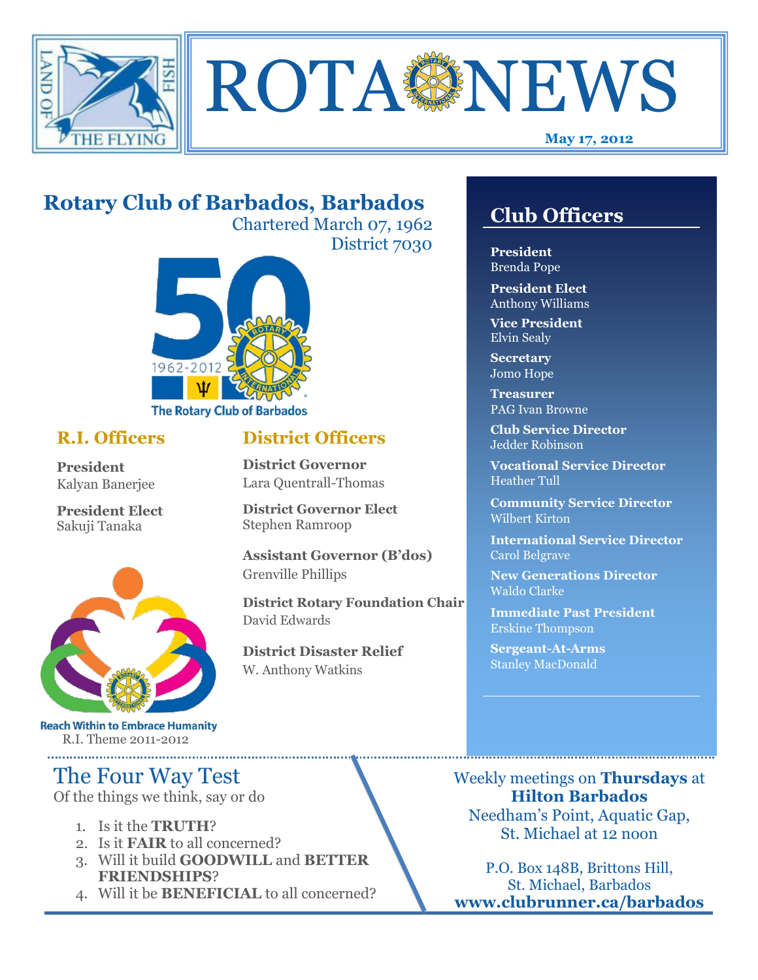



#### **May 17, 2012**

## **Rotary Club of Barbados, Barbados**

Chartered March 07, 1962 District 7030

**District Officers**

**District Governor Elect**

**District Disaster Relief**

W. Anthony Watkins

**Assistant Governor (B'dos)**

**District Rotary Foundation Chair**

**District Governor** Lara Quentrall-Thomas

Stephen Ramroop

Grenville Phillips

David Edwards



#### **R.I. Officers**

**President**  Kalyan Banerjee

**President Elect** Sakuji Tanaka



**Reach Within to Embrace Humanity** R.I. Theme 2011-2012

## The Four Way Test

Of the things we think, say or do

- 1. Is it the **TRUTH**?
- 2. Is it **FAIR** to all concerned?
- 3. Will it build **GOODWILL** and **BETTER FRIENDSHIPS**?
- 4. Will it be **BENEFICIAL** to all concerned?

### **Club Officers**

**Club Officers** 

**President** Brenda Pope

**President Elect** Anthony Williams

**Vice President** Elvin Sealy

**Secretary** Jomo Hope

**Treasurer** PAG Ivan Browne

**Club Service Director** Jedder Robinson

**Vocational Service Director** Heather Tull

**Community Service Director** Wilbert Kirton

**International Service Director** Carol Belgrave

**New Generations Director** Waldo Clarke

**Immediate Past President** Erskine Thompson

**Sergeant-At-Arms** Stanley MacDonald

Weekly meetings on **Thursdays** at **Hilton Barbados** Needham's Point, Aquatic Gap, St. Michael at 12 noon

P.O. Box 148B, Brittons Hill, St. Michael, Barbados **www.clubrunner.ca/barbados**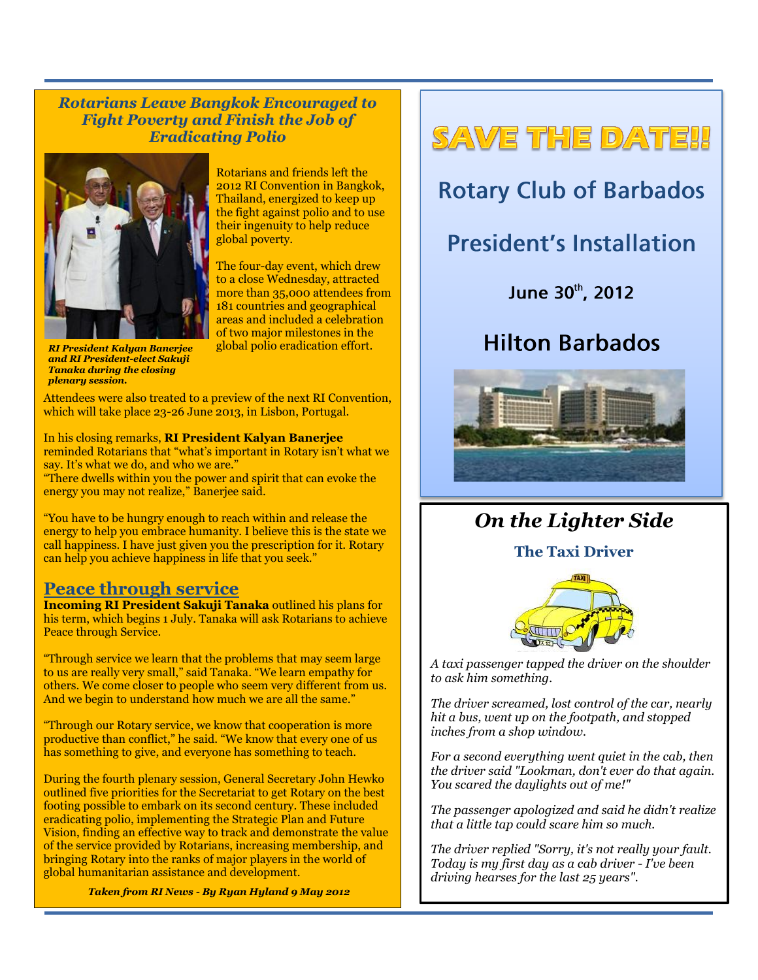*Rotarians Leave Bangkok Encouraged to Fight Poverty and Finish the Job of Eradicating Polio*



Rotarians and friends left the 2012 RI Convention in Bangkok, Thailand, energized to keep up the fight against polio and to use their ingenuity to help reduce global poverty.

The four-day event, which drew to a close Wednesday, attracted more than 35,000 attendees from 181 countries and geographical areas and included a celebration of two major milestones in the global polio eradication effort.

*RI President Kalyan Banerjee and RI President-elect Sakuji Tanaka during the closing plenary session.*

Attendees were also treated to a preview of the next RI Convention, which will take place 23-26 June 2013, in Lisbon, Portugal.

In his closing remarks, **RI President Kalyan Banerjee** reminded Rotarians that "what's important in Rotary isn't what we say. It's what we do, and who we are."

"There dwells within you the power and spirit that can evoke the energy you may not realize," Banerjee said.

"You have to be hungry enough to reach within and release the energy to help you embrace humanity. I believe this is the state we call happiness. I have just given you the prescription for it. Rotary can help you achieve happiness in life that you seek."

#### **Peace through service**

**Incoming RI President Sakuji Tanaka** outlined his plans for his term, which begins 1 July. Tanaka will ask Rotarians to achieve Peace through Service.

"Through service we learn that the problems that may seem large to us are really very small," said Tanaka. "We learn empathy for others. We come closer to people who seem very different from us. And we begin to understand how much we are all the same."

"Through our Rotary service, we know that cooperation is more productive than conflict," he said. "We know that every one of us has something to give, and everyone has something to teach.

During the fourth plenary session, General Secretary John Hewko outlined five priorities for the Secretariat to get Rotary on the best footing possible to embark on its second century. These included eradicating polio, implementing the Strategic Plan and Future Vision, finding an effective way to track and demonstrate the value of the service provided by Rotarians, increasing membership, and bringing Rotary into the ranks of major players in the world of global humanitarian assistance and development.

*Taken from RI News - By Ryan Hyland 9 May 2012* 

# SAVE THE DATE!!

## **Rotary Club of Barbados**

## **President's Installation**

June 30th, 2012

## **Hilton Barbados**



### *On the Lighter Side*

**The Taxi Driver**



*A taxi passenger tapped the driver on the shoulder to ask him something.* 

*The driver screamed, lost control of the car, nearly hit a bus, went up on the footpath, and stopped inches from a shop window.* 

*For a second everything went quiet in the cab, then the driver said "Lookman, don't ever do that again. You scared the daylights out of me!"* 

*The passenger apologized and said he didn't realize that a little tap could scare him so much.* 

*The driver replied "Sorry, it's not really your fault. Today is my first day as a cab driver - I've been driving hearses for the last 25 years".*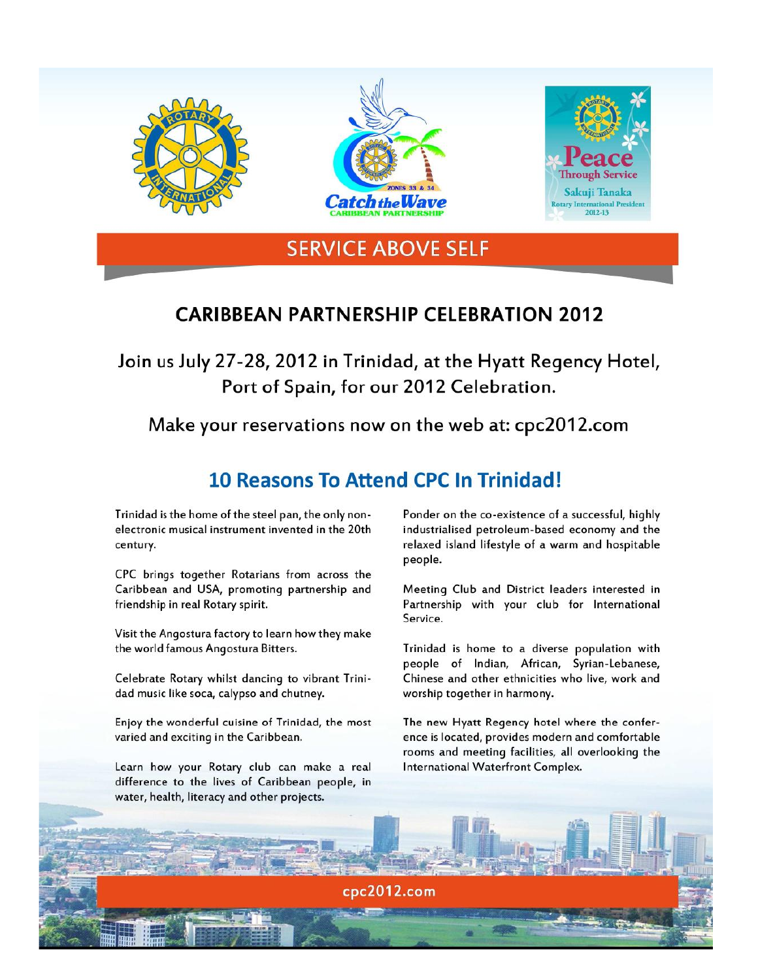

#### **CARIBBEAN PARTNERSHIP CELEBRATION 2012**

Join us July 27-28, 2012 in Trinidad, at the Hyatt Regency Hotel, Port of Spain, for our 2012 Celebration.

Make your reservations now on the web at: cpc2012.com

### **10 Reasons To Attend CPC In Trinidad!**

cpc2012.com

Trinidad is the home of the steel pan, the only nonelectronic musical instrument invented in the 20th century.

CPC brings together Rotarians from across the Caribbean and USA, promoting partnership and friendship in real Rotary spirit.

Visit the Angostura factory to learn how they make the world famous Angostura Bitters.

Celebrate Rotary whilst dancing to vibrant Trinidad music like soca, calypso and chutney.

Enjoy the wonderful cuisine of Trinidad, the most varied and exciting in the Caribbean.

Learn how your Rotary club can make a real difference to the lives of Caribbean people, in water, health, literacy and other projects.

Ponder on the co-existence of a successful, highly industrialised petroleum-based economy and the relaxed island lifestyle of a warm and hospitable people.

Meeting Club and District leaders interested in Partnership with your club for International Service.

Trinidad is home to a diverse population with people of Indian, African, Syrian-Lebanese, Chinese and other ethnicities who live, work and worship together in harmony.

The new Hyatt Regency hotel where the conference is located, provides modern and comfortable rooms and meeting facilities, all overlooking the International Waterfront Complex.